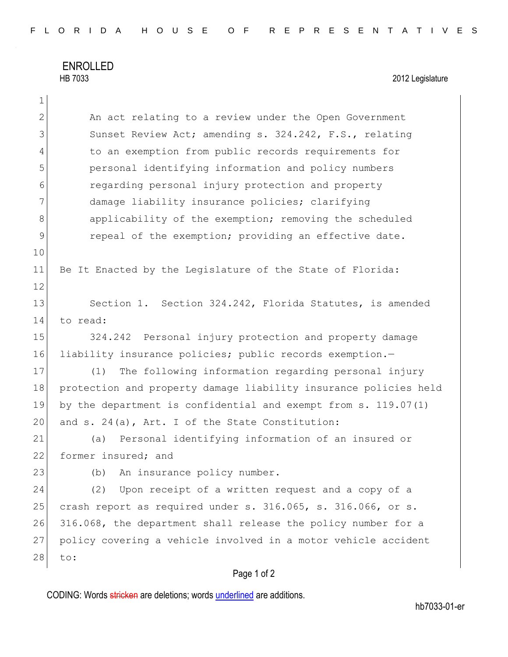## ENROLLED<br>HB 7033

1

## 2012 Legislature

| $\overline{2}$ | An act relating to a review under the Open Government            |  |  |
|----------------|------------------------------------------------------------------|--|--|
| 3              | Sunset Review Act; amending s. 324.242, F.S., relating           |  |  |
| 4              | to an exemption from public records requirements for             |  |  |
| 5              | personal identifying information and policy numbers              |  |  |
| 6              | regarding personal injury protection and property                |  |  |
| 7              | damage liability insurance policies; clarifying                  |  |  |
| 8              | applicability of the exemption; removing the scheduled           |  |  |
| $\mathsf 9$    | repeal of the exemption; providing an effective date.            |  |  |
| 10             |                                                                  |  |  |
| 11             | Be It Enacted by the Legislature of the State of Florida:        |  |  |
| 12             |                                                                  |  |  |
| 13             | Section 1. Section 324.242, Florida Statutes, is amended         |  |  |
| 14             | to read:                                                         |  |  |
| 15             | 324.242 Personal injury protection and property damage           |  |  |
| 16             | liability insurance policies; public records exemption.-         |  |  |
| 17             | The following information regarding personal injury<br>(1)       |  |  |
| 18             | protection and property damage liability insurance policies held |  |  |
| 19             | by the department is confidential and exempt from $s. 119.07(1)$ |  |  |
| 20             | and s. 24(a), Art. I of the State Constitution:                  |  |  |
| 21             | Personal identifying information of an insured or<br>(a)         |  |  |
| 22             | former insured; and                                              |  |  |
| 23             | An insurance policy number.<br>(b)                               |  |  |
| 24             | Upon receipt of a written request and a copy of a<br>(2)         |  |  |
| 25             | crash report as required under s. 316.065, s. 316.066, or s.     |  |  |
| 26             | 316.068, the department shall release the policy number for a    |  |  |
| 27             | policy covering a vehicle involved in a motor vehicle accident   |  |  |
| 28             | to:                                                              |  |  |
|                |                                                                  |  |  |

## Page 1 of 2

CODING: Words stricken are deletions; words underlined are additions.